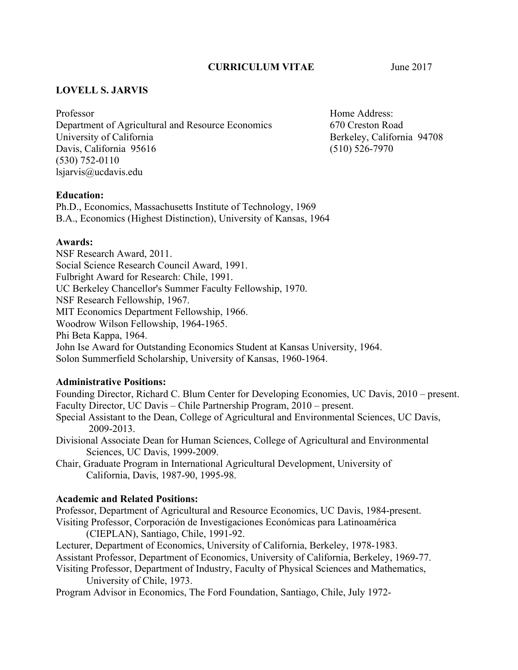## **CURRICULUM VITAE** June 2017

## **LOVELL S. JARVIS**

Professor University of California Davis, California 95616 Professor<br>Department of Agricultural and Resource Economics<br>University of California<br>Davis, California 95616<br>(530) 752-0110 lsjarvis@ucdavis.edu

Home Address: 670 Creston Road Berkeley, California 94708 (510) 526-7970

## **Education:**

Ph.D., Economics, Massachusetts Institute of Technology, 1969 B.A., Economics (Highest Distinction), University of Kansas, 1964

### **Awards:**

NSF Research Award, 2011. Social Science Research Council Award, 1991. Fulbright Award for Research: Chile, 1991. UC Berkeley Chancellor's Summer Faculty Fellowship, 1970. NSF Research Fellowship, 1967. MIT Economics Department Fellowship, 1966. Woodrow Wilson Fellowship, 1964-1965. Phi Beta Kappa, 1964. John Ise Award for Outstanding Economics Student at Kansas University, 1964. Solon Summerfield Scholarship, University of Kansas, 1960-1964.

### **Administrative Positions:**

 Founding Director, Richard C. Blum Center for Developing Economies, UC Davis, 2010 – present. Faculty Director, UC Davis – Chile Partnership Program, 2010 – present.

 2009-2013. Special Assistant to the Dean, College of Agricultural and Environmental Sciences, UC Davis,

Sciences, UC Davis, 1999-2009. Divisional Associate Dean for Human Sciences, College of Agricultural and Environmental

Chair, Graduate Program in International Agricultural Development, University of California, Davis, 1987-90, 1995-98.

### **Academic and Related Positions:**

 Visiting Professor, Corporación de Investigaciones Económicas para Latinoamérica Professor, Department of Agricultural and Resource Economics, UC Davis, 1984-present. (CIEPLAN), Santiago, Chile, 1991-92.

Lecturer, Department of Economics, University of California, Berkeley, 1978-1983.

Assistant Professor, Department of Economics, University of California, Berkeley, 1969-77.

Visiting Professor, Department of Industry, Faculty of Physical Sciences and Mathematics, University of Chile, 1973.

Program Advisor in Economics, The Ford Foundation, Santiago, Chile, July 1972-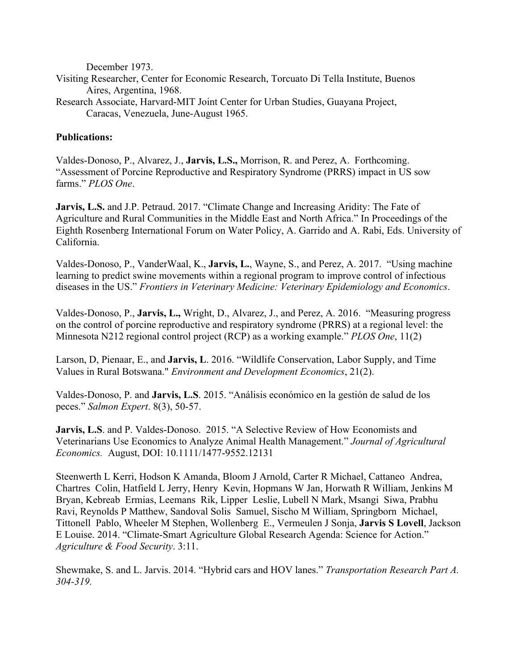December 1973.

- Visiting Researcher, Center for Economic Research, Torcuato Di Tella Institute, Buenos Aires, Argentina, 1968.
- Research Associate, Harvard-MIT Joint Center for Urban Studies, Guayana Project, Caracas, Venezuela, June-August 1965.

## **Publications:**

Valdes-Donoso, P., Alvarez, J., **Jarvis, L.S.,** Morrison, R. and Perez, A. Forthcoming. "Assessment of Porcine Reproductive and Respiratory Syndrome (PRRS) impact in US sow farms." *PLOS One*.

**Jarvis, L.S.** and J.P. Petraud. 2017. "Climate Change and Increasing Aridity: The Fate of Agriculture and Rural Communities in the Middle East and North Africa." In Proceedings of the Eighth Rosenberg International Forum on Water Policy, A. Garrido and A. Rabi, Eds. University of California.

Valdes-Donoso, P., VanderWaal, K., **Jarvis, L.**, Wayne, S., and Perez, A. 2017. "Using machine learning to predict swine movements within a regional program to improve control of infectious diseases in the US." *Frontiers in Veterinary Medicine: Veterinary Epidemiology and Economics*.

Valdes-Donoso, P., **Jarvis, L.,** Wright, D., Alvarez, J., and Perez, A. 2016. "Measuring progress on the control of porcine reproductive and respiratory syndrome (PRRS) at a regional level: the Minnesota N212 regional control project (RCP) as a working example." *PLOS One*, 11(2)

Larson, D, Pienaar, E., and **Jarvis, L**. 2016. "Wildlife Conservation, Labor Supply, and Time Values in Rural Botswana." *Environment and Development Economics*, 21(2).

Valdes-Donoso, P. and **Jarvis, L.S**. 2015. "Análisis económico en la gestión de salud de los peces." *Salmon Expert*. 8(3), 50-57.

 *Economics.* August, DOI: 10.1111/1477-9552.12131 **Jarvis, L.S**. and P. Valdes-Donoso. 2015. "A Selective Review of How Economists and Veterinarians Use Economics to Analyze Animal Health Management." *Journal of Agricultural* 

 Steenwerth L Kerri, Hodson K Amanda, Bloom J Arnold, Carter R Michael, Cattaneo Andrea, Chartres Colin, Hatfield L Jerry, Henry Kevin, Hopmans W Jan, Horwath R William, Jenkins M Bryan, Kebreab Ermias, Leemans Rik, Lipper Leslie, Lubell N Mark, Msangi Siwa, Prabhu Ravi, Reynolds P Matthew, Sandoval Solis Samuel, Sischo M William, Springborn Michael, Tittonell Pablo, Wheeler M Stephen, Wollenberg E., Vermeulen J Sonja, **Jarvis S Lovell**, Jackson E Louise. 2014. "Climate-Smart Agriculture Global Research Agenda: Science for Action." *Agriculture & Food Security*. 3:11.

Shewmake, S. and L. Jarvis. 2014. "Hybrid cars and HOV lanes." *Transportation Research Part A. 304-319.*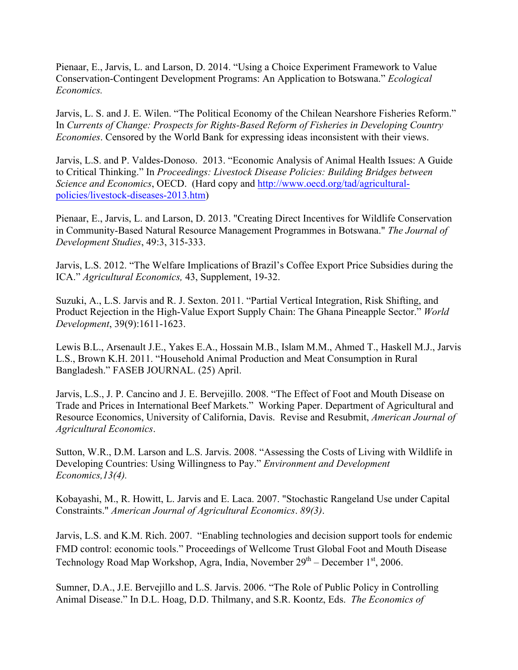Pienaar, E., Jarvis, L. and Larson, D. 2014. "Using a Choice Experiment Framework to Value Conservation-Contingent Development Programs: An Application to Botswana." *Ecological Economics.* 

Jarvis, L. S. and J. E. Wilen. "The Political Economy of the Chilean Nearshore Fisheries Reform." In *Currents of Change: Prospects for Rights-Based Reform of Fisheries in Developing Country Economies*. Censored by the World Bank for expressing ideas inconsistent with their views.

Jarvis, L.S. and P. Valdes-Donoso. 2013. "Economic Analysis of Animal Health Issues: A Guide to Critical Thinking." In *Proceedings: Livestock Disease Policies: Building Bridges between Science and Economics*, OECD. (Hard copy and http://www.oecd.org/tad/agriculturalpolicies/livestock-diseases-2013.htm)

 in Community-Based Natural Resource Management Programmes in Botswana." *The Journal of*  Pienaar, E., Jarvis, L. and Larson, D. 2013. "Creating Direct Incentives for Wildlife Conservation *Development Studies*, 49:3, 315-333.

 Jarvis, L.S. 2012. "The Welfare Implications of Brazil's Coffee Export Price Subsidies during the ICA." *Agricultural Economics,* 43, Supplement, 19-32.

 Suzuki, A., L.S. Jarvis and R. J. Sexton. 2011. "Partial Vertical Integration, Risk Shifting, and Product Rejection in the High-Value Export Supply Chain: The Ghana Pineapple Sector." *World Development*, 39(9):1611-1623.

Lewis B.L., Arsenault J.E., Yakes E.A., Hossain M.B., Islam M.M., Ahmed T., Haskell M.J., Jarvis L.S., Brown K.H. 2011. "Household Animal Production and Meat Consumption in Rural Bangladesh." FASEB JOURNAL. (25) April.

 Jarvis, L.S., J. P. Cancino and J. E. Bervejillo. 2008. "The Effect of Foot and Mouth Disease on Trade and Prices in International Beef Markets." Working Paper. Department of Agricultural and Resource Economics, University of California, Davis. Revise and Resubmit, *American Journal of Agricultural Economics*.

Sutton, W.R., D.M. Larson and L.S. Jarvis. 2008. "Assessing the Costs of Living with Wildlife in Developing Countries: Using Willingness to Pay." *Environment and Development Economics,13(4).* 

 Kobayashi, M., R. Howitt, L. Jarvis and E. Laca. 2007. "Stochastic Rangeland Use under Capital Constraints." *American Journal of Agricultural Economics*. *89(3)*.

Technology Road Map Workshop, Agra, India, November  $29<sup>th</sup>$  – December  $1<sup>st</sup>$ , 2006. Jarvis, L.S. and K.M. Rich. 2007. "Enabling technologies and decision support tools for endemic FMD control: economic tools." Proceedings of Wellcome Trust Global Foot and Mouth Disease

Sumner, D.A., J.E. Bervejillo and L.S. Jarvis. 2006. "The Role of Public Policy in Controlling Animal Disease." In D.L. Hoag, D.D. Thilmany, and S.R. Koontz, Eds. *The Economics of*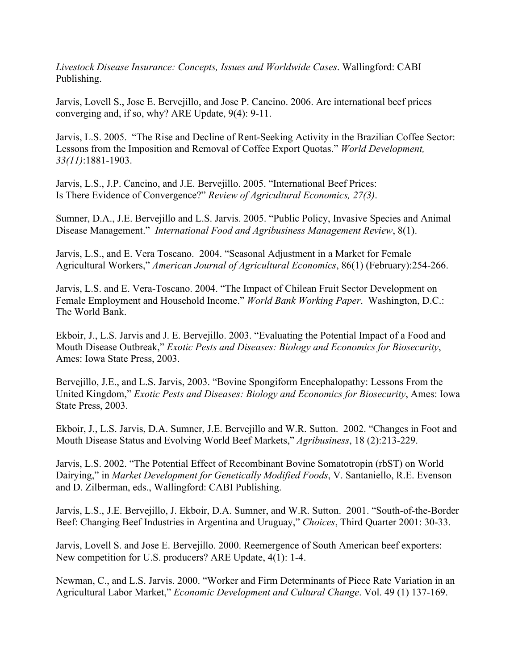*Livestock Disease Insurance: Concepts, Issues and Worldwide Cases*. Wallingford: CABI Publishing.

Jarvis, Lovell S., Jose E. Bervejillo, and Jose P. Cancino. 2006. Are international beef prices converging and, if so, why? ARE Update, 9(4): 9-11.

Jarvis, L.S. 2005. "The Rise and Decline of Rent-Seeking Activity in the Brazilian Coffee Sector: Lessons from the Imposition and Removal of Coffee Export Quotas." *World Development, 33(11)*:1881-1903.

Jarvis, L.S., J.P. Cancino, and J.E. Bervejillo. 2005. "International Beef Prices: Is There Evidence of Convergence?" *Review of Agricultural Economics, 27(3)*.

 Disease Management." *International Food and Agribusiness Management Review*, 8(1). Sumner, D.A., J.E. Bervejillo and L.S. Jarvis. 2005. "Public Policy, Invasive Species and Animal

Jarvis, L.S., and E. Vera Toscano. 2004. "Seasonal Adjustment in a Market for Female Agricultural Workers," *American Journal of Agricultural Economics*, 86(1) (February):254-266.

Jarvis, L.S. and E. Vera-Toscano. 2004. "The Impact of Chilean Fruit Sector Development on Female Employment and Household Income." *World Bank Working Paper*. Washington, D.C.: The World Bank.

Ekboir, J., L.S. Jarvis and J. E. Bervejillo. 2003. "Evaluating the Potential Impact of a Food and Mouth Disease Outbreak," *Exotic Pests and Diseases: Biology and Economics for Biosecurity*, Ames: Iowa State Press, 2003.

Bervejillo, J.E., and L.S. Jarvis, 2003. "Bovine Spongiform Encephalopathy: Lessons From the United Kingdom," *Exotic Pests and Diseases: Biology and Economics for Biosecurity*, Ames: Iowa State Press, 2003.

Ekboir, J., L.S. Jarvis, D.A. Sumner, J.E. Bervejillo and W.R. Sutton. 2002. "Changes in Foot and Mouth Disease Status and Evolving World Beef Markets," *Agribusiness*, 18 (2):213-229.

Jarvis, L.S. 2002. "The Potential Effect of Recombinant Bovine Somatotropin (rbST) on World Dairying," in *Market Development for Genetically Modified Foods*, V. Santaniello, R.E. Evenson and D. Zilberman, eds., Wallingford: CABI Publishing.

Jarvis, L.S., J.E. Bervejillo, J. Ekboir, D.A. Sumner, and W.R. Sutton. 2001. "South-of-the-Border Beef: Changing Beef Industries in Argentina and Uruguay," *Choices*, Third Quarter 2001: 30-33.

Jarvis, Lovell S. and Jose E. Bervejillo. 2000. Reemergence of South American beef exporters: New competition for U.S. producers? ARE Update, 4(1): 1-4.

 Newman, C., and L.S. Jarvis. 2000. "Worker and Firm Determinants of Piece Rate Variation in an Agricultural Labor Market," *Economic Development and Cultural Change*. Vol. 49 (1) 137-169.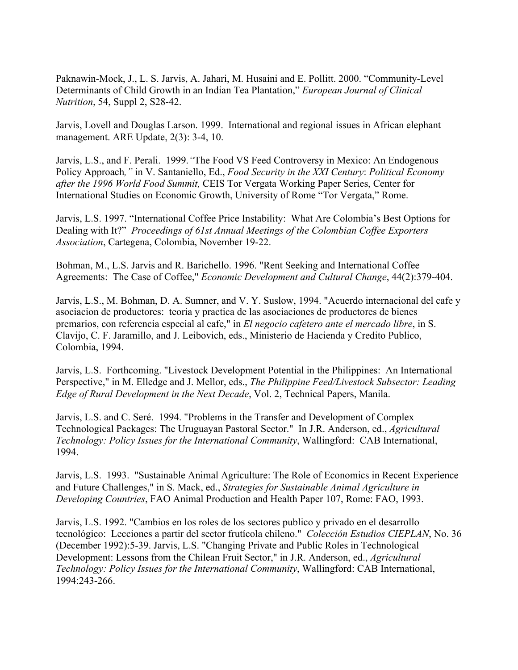Paknawin-Mock, J., L. S. Jarvis, A. Jahari, M. Husaini and E. Pollitt. 2000. "Community-Level Determinants of Child Growth in an Indian Tea Plantation," *European Journal of Clinical Nutrition*, 54, Suppl 2, S28-42.

Jarvis, Lovell and Douglas Larson. 1999. International and regional issues in African elephant management. ARE Update, 2(3): 3-4, 10.

Jarvis, L.S., and F. Perali. 1999.*"*The Food VS Feed Controversy in Mexico: An Endogenous Policy Approach*,"* in V. Santaniello, Ed., *Food Security in the XXI Century*: *Political Economy after the 1996 World Food Summit,* CEIS Tor Vergata Working Paper Series, Center for International Studies on Economic Growth, University of Rome "Tor Vergata," Rome.

 Dealing with It?" *Proceedings of 61st Annual Meetings of the Colombian Coffee Exporters*  Jarvis, L.S. 1997. "International Coffee Price Instability: What Are Colombia's Best Options for *Association*, Cartegena, Colombia, November 19-22.

 Bohman, M., L.S. Jarvis and R. Barichello. 1996. "Rent Seeking and International Coffee Agreements: The Case of Coffee," *Economic Development and Cultural Change*, 44(2):379-404.

 premarios, con referencia especial al cafe," in *El negocio cafetero ante el mercado libre*, in S. Jarvis, L.S., M. Bohman, D. A. Sumner, and V. Y. Suslow, 1994. "Acuerdo internacional del cafe y asociacion de productores: teoria y practica de las asociaciones de productores de bienes Clavijo, C. F. Jaramillo, and J. Leibovich, eds., Ministerio de Hacienda y Credito Publico, Colombia, 1994.

Jarvis, L.S. Forthcoming. "Livestock Development Potential in the Philippines: An International Perspective," in M. Elledge and J. Mellor, eds., *The Philippine Feed/Livestock Subsector: Leading Edge of Rural Development in the Next Decade*, Vol. 2, Technical Papers, Manila.

Jarvis, L.S. and C. Seré. 1994. "Problems in the Transfer and Development of Complex Technological Packages: The Uruguayan Pastoral Sector." In J.R. Anderson, ed., *Agricultural Technology: Policy Issues for the International Community*, Wallingford: CAB International, 1994.

Jarvis, L.S. 1993. "Sustainable Animal Agriculture: The Role of Economics in Recent Experience and Future Challenges," in S. Mack, ed., *Strategies for Sustainable Animal Agriculture in Developing Countries*, FAO Animal Production and Health Paper 107, Rome: FAO, 1993.

 tecnológico: Lecciones a partir del sector frutícola chileno." *Colección Estudios CIEPLAN*, No. 36 Jarvis, L.S. 1992. "Cambios en los roles de los sectores publico y privado en el desarrollo (December 1992):5-39. Jarvis, L.S. "Changing Private and Public Roles in Technological Development: Lessons from the Chilean Fruit Sector," in J.R. Anderson, ed., *Agricultural Technology: Policy Issues for the International Community*, Wallingford: CAB International, 1994:243-266.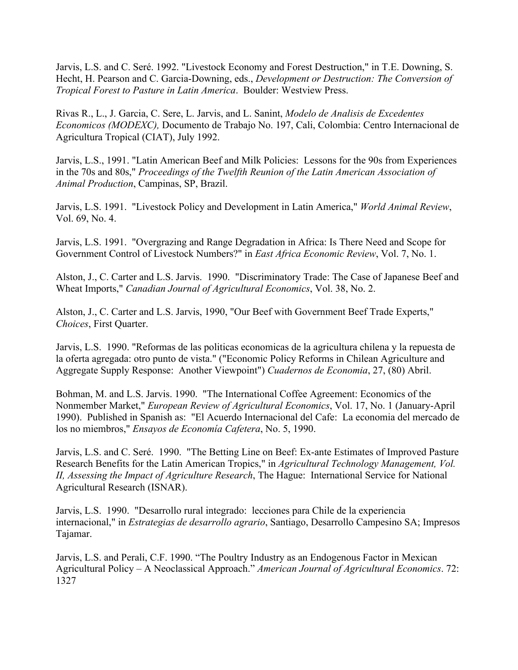Jarvis, L.S. and C. Seré. 1992. "Livestock Economy and Forest Destruction," in T.E. Downing, S. Hecht, H. Pearson and C. Garcia-Downing, eds., *Development or Destruction: The Conversion of Tropical Forest to Pasture in Latin America*. Boulder: Westview Press.

Rivas R., L., J. Garcia, C. Sere, L. Jarvis, and L. Sanint, *Modelo de Analisis de Excedentes Economicos (MODEXC),* Documento de Trabajo No. 197, Cali, Colombia: Centro Internacional de Agricultura Tropical (CIAT), July 1992.

 Jarvis, L.S., 1991. "Latin American Beef and Milk Policies: Lessons for the 90s from Experiences in the 70s and 80s," *Proceedings of the Twelfth Reunion of the Latin American Association of Animal Production*, Campinas, SP, Brazil.

Jarvis, L.S. 1991. "Livestock Policy and Development in Latin America," *World Animal Review*, Vol. 69, No. 4.

Jarvis, L.S. 1991. "Overgrazing and Range Degradation in Africa: Is There Need and Scope for Government Control of Livestock Numbers?" in *East Africa Economic Review*, Vol. 7, No. 1.

Alston, J., C. Carter and L.S. Jarvis. 1990. "Discriminatory Trade: The Case of Japanese Beef and Wheat Imports," *Canadian Journal of Agricultural Economics*, Vol. 38, No. 2.

Alston, J., C. Carter and L.S. Jarvis, 1990, "Our Beef with Government Beef Trade Experts," *Choices*, First Quarter.

Jarvis, L.S. 1990. "Reformas de las politicas economicas de la agricultura chilena y la repuesta de la oferta agregada: otro punto de vista." ("Economic Policy Reforms in Chilean Agriculture and Aggregate Supply Response: Another Viewpoint") *Cuadernos de Economia*, 27, (80) Abril.

Bohman, M. and L.S. Jarvis. 1990. "The International Coffee Agreement: Economics of the Nonmember Market," *European Review of Agricultural Economics*, Vol. 17, No. 1 (January-April 1990). Published in Spanish as: "El Acuerdo Internacional del Cafe: La economia del mercado de los no miembros," *Ensayos de Economía Cafetera*, No. 5, 1990.

Jarvis, L.S. and C. Seré. 1990. "The Betting Line on Beef: Ex-ante Estimates of Improved Pasture Research Benefits for the Latin American Tropics," in *Agricultural Technology Management, Vol. II, Assessing the Impact of Agriculture Research*, The Hague: International Service for National Agricultural Research (ISNAR).

Jarvis, L.S. 1990. "Desarrollo rural integrado: lecciones para Chile de la experiencia internacional," in *Estrategias de desarrollo agrario*, Santiago, Desarrollo Campesino SA; Impresos Tajamar.

Jarvis, L.S. and Perali, C.F. 1990. "The Poultry Industry as an Endogenous Factor in Mexican Agricultural Policy – A Neoclassical Approach." *American Journal of Agricultural Economics*. 72: 1327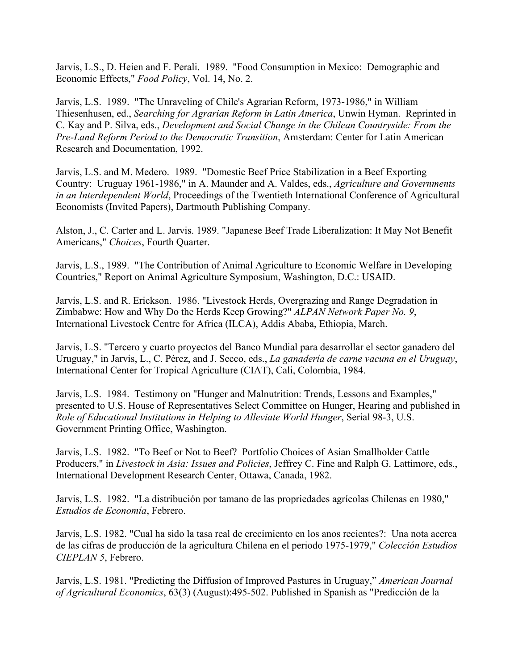Jarvis, L.S., D. Heien and F. Perali. 1989. "Food Consumption in Mexico: Demographic and Economic Effects," *Food Policy*, Vol. 14, No. 2.

Jarvis, L.S. 1989. "The Unraveling of Chile's Agrarian Reform, 1973-1986," in William Thiesenhusen, ed., *Searching for Agrarian Reform in Latin America*, Unwin Hyman. Reprinted in C. Kay and P. Silva, eds., *Development and Social Change in the Chilean Countryside: From the Pre-Land Reform Period to the Democratic Transition*, Amsterdam: Center for Latin American Research and Documentation, 1992.

Jarvis, L.S. and M. Medero. 1989. "Domestic Beef Price Stabilization in a Beef Exporting Country: Uruguay 1961-1986," in A. Maunder and A. Valdes, eds., *Agriculture and Governments in an Interdependent World*, Proceedings of the Twentieth International Conference of Agricultural Economists (Invited Papers), Dartmouth Publishing Company.

Alston, J., C. Carter and L. Jarvis. 1989. "Japanese Beef Trade Liberalization: It May Not Benefit Americans," *Choices*, Fourth Quarter.

Jarvis, L.S., 1989. "The Contribution of Animal Agriculture to Economic Welfare in Developing Countries," Report on Animal Agriculture Symposium, Washington, D.C.: USAID.

Jarvis, L.S. and R. Erickson. 1986. "Livestock Herds, Overgrazing and Range Degradation in Zimbabwe: How and Why Do the Herds Keep Growing?" *ALPAN Network Paper No. 9*, International Livestock Centre for Africa (ILCA), Addis Ababa, Ethiopia, March.

Jarvis, L.S. "Tercero y cuarto proyectos del Banco Mundial para desarrollar el sector ganadero del Uruguay," in Jarvis, L., C. Pérez, and J. Secco, eds., *La ganadería de carne vacuna en el Uruguay*, International Center for Tropical Agriculture (CIAT), Cali, Colombia, 1984.

Jarvis, L.S. 1984. Testimony on "Hunger and Malnutrition: Trends, Lessons and Examples," presented to U.S. House of Representatives Select Committee on Hunger, Hearing and published in *Role of Educational Institutions in Helping to Alleviate World Hunger*, Serial 98-3, U.S. Government Printing Office, Washington.

Jarvis, L.S. 1982. "To Beef or Not to Beef? Portfolio Choices of Asian Smallholder Cattle Producers," in *Livestock in Asia: Issues and Policies*, Jeffrey C. Fine and Ralph G. Lattimore, eds., International Development Research Center, Ottawa, Canada, 1982.

Jarvis, L.S. 1982. "La distribución por tamano de las propriedades agrícolas Chilenas en 1980," *Estudios de Economía*, Febrero.

Jarvis, L.S. 1982. "Cual ha sido la tasa real de crecimiento en los anos recientes?: Una nota acerca de las cifras de producción de la agricultura Chilena en el periodo 1975-1979," *Colección Estudios CIEPLAN 5*, Febrero.

 Jarvis, L.S. 1981. "Predicting the Diffusion of Improved Pastures in Uruguay," *American Journal of Agricultural Economics*, 63(3) (August):495-502. Published in Spanish as "Predicción de la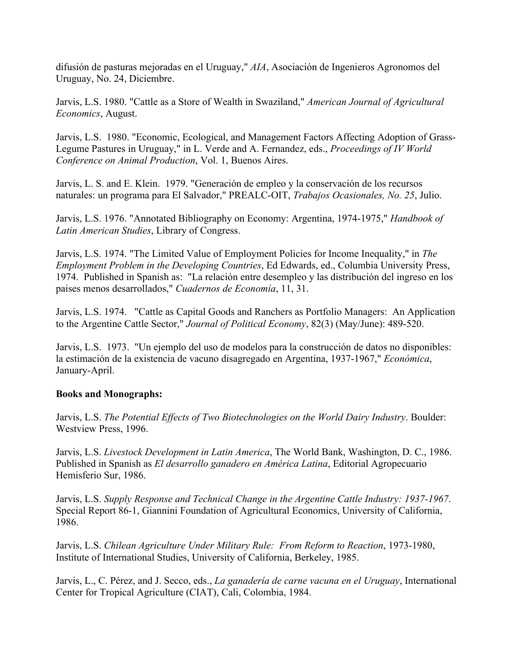difusión de pasturas mejoradas en el Uruguay," *AIA*, Asociación de Ingenieros Agronomos del Uruguay, No. 24, Diciembre.

Jarvis, L.S. 1980. "Cattle as a Store of Wealth in Swaziland," *American Journal of Agricultural Economics*, August.

Jarvis, L.S. 1980. "Economic, Ecological, and Management Factors Affecting Adoption of Grass-Legume Pastures in Uruguay," in L. Verde and A. Fernandez, eds., *Proceedings of IV World Conference on Animal Production*, Vol. 1, Buenos Aires.

Jarvis, L. S. and E. Klein. 1979. "Generación de empleo y la conservación de los recursos naturales: un programa para El Salvador," PREALC-OIT, *Trabajos Ocasionales, No. 25*, Julio.

Jarvis, L.S. 1976. "Annotated Bibliography on Economy: Argentina, 1974-1975," *Handbook of Latin American Studies*, Library of Congress.

Jarvis, L.S. 1974. "The Limited Value of Employment Policies for Income Inequality," in *The Employment Problem in the Developing Countries*, Ed Edwards, ed., Columbia University Press, 1974. Published in Spanish as: "La relación entre desempleo y las distribución del ingreso en los paises menos desarrollados," *Cuadernos de Economía*, 11, 31.

 Jarvis, L.S. 1974. "Cattle as Capital Goods and Ranchers as Portfolio Managers: An Application to the Argentine Cattle Sector," *Journal of Political Economy*, 82(3) (May/June): 489-520.

Jarvis, L.S. 1973. "Un ejemplo del uso de modelos para la construcción de datos no disponibles: la estimación de la existencia de vacuno disagregado en Argentina, 1937-1967," *Económica*, January-April.

## **Books and Monographs:**

Jarvis, L.S. *The Potential Effects of Two Biotechnologies on the World Dairy Industry*. Boulder: Westview Press, 1996.

Jarvis, L.S. *Livestock Development in Latin America*, The World Bank, Washington, D. C., 1986. Published in Spanish as *El desarrollo ganadero en América Latina*, Editorial Agropecuario Hemisferio Sur, 1986.

Jarvis, L.S. *Supply Response and Technical Change in the Argentine Cattle Industry: 1937-1967*. Special Report 86-1, Giannini Foundation of Agricultural Economics, University of California, 1986.

Jarvis, L.S. *Chilean Agriculture Under Military Rule: From Reform to Reaction*, 1973-1980, Institute of International Studies, University of California, Berkeley, 1985.

Jarvis, L., C. Pérez, and J. Secco, eds., *La ganadería de carne vacuna en el Uruguay*, International Center for Tropical Agriculture (CIAT), Cali, Colombia, 1984.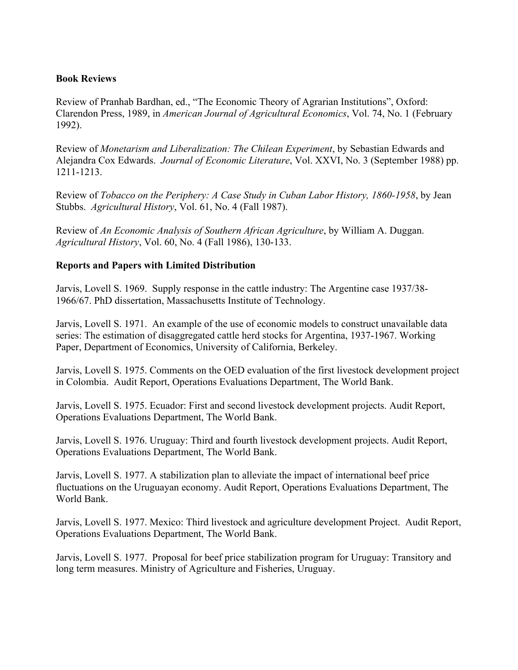## **Book Reviews**

Review of Pranhab Bardhan, ed., "The Economic Theory of Agrarian Institutions", Oxford: Clarendon Press, 1989, in *American Journal of Agricultural Economics*, Vol. 74, No. 1 (February 1992).

Review of *Monetarism and Liberalization: The Chilean Experiment*, by Sebastian Edwards and Alejandra Cox Edwards. *Journal of Economic Literature*, Vol. XXVI, No. 3 (September 1988) pp. 1211-1213.

Review of *Tobacco on the Periphery: A Case Study in Cuban Labor History, 1860-1958*, by Jean Stubbs. *Agricultural History*, Vol. 61, No. 4 (Fall 1987).

Review of *An Economic Analysis of Southern African Agriculture*, by William A. Duggan. *Agricultural History*, Vol. 60, No. 4 (Fall 1986), 130-133.

## **Reports and Papers with Limited Distribution**

Jarvis, Lovell S. 1969. Supply response in the cattle industry: The Argentine case 1937/38- 1966/67. PhD dissertation, Massachusetts Institute of Technology.

Jarvis, Lovell S. 1971. An example of the use of economic models to construct unavailable data series: The estimation of disaggregated cattle herd stocks for Argentina, 1937-1967. Working Paper, Department of Economics, University of California, Berkeley.

Jarvis, Lovell S. 1975. Comments on the OED evaluation of the first livestock development project in Colombia. Audit Report, Operations Evaluations Department, The World Bank.

Jarvis, Lovell S. 1975. Ecuador: First and second livestock development projects. Audit Report, Operations Evaluations Department, The World Bank.

Jarvis, Lovell S. 1976. Uruguay: Third and fourth livestock development projects. Audit Report, Operations Evaluations Department, The World Bank.

Jarvis, Lovell S. 1977. A stabilization plan to alleviate the impact of international beef price fluctuations on the Uruguayan economy. Audit Report, Operations Evaluations Department, The World Bank.

Jarvis, Lovell S. 1977. Mexico: Third livestock and agriculture development Project. Audit Report, Operations Evaluations Department, The World Bank.

Jarvis, Lovell S. 1977. Proposal for beef price stabilization program for Uruguay: Transitory and long term measures. Ministry of Agriculture and Fisheries, Uruguay.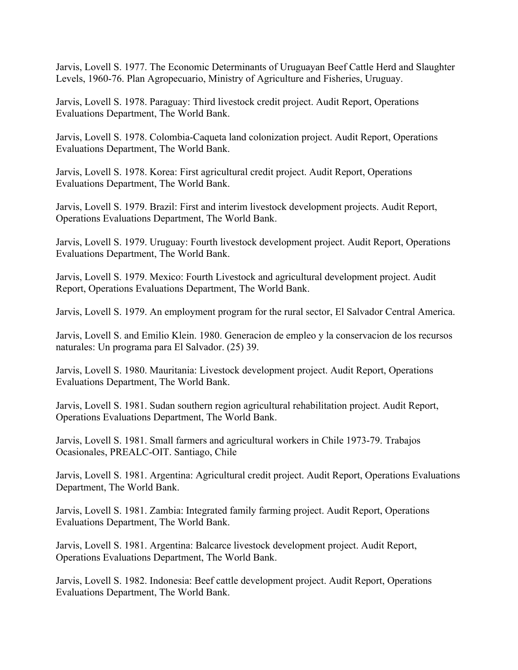Jarvis, Lovell S. 1977. The Economic Determinants of Uruguayan Beef Cattle Herd and Slaughter Levels, 1960-76. Plan Agropecuario, Ministry of Agriculture and Fisheries, Uruguay.

Jarvis, Lovell S. 1978. Paraguay: Third livestock credit project. Audit Report, Operations Evaluations Department, The World Bank.

Jarvis, Lovell S. 1978. Colombia-Caqueta land colonization project. Audit Report, Operations Evaluations Department, The World Bank.

Jarvis, Lovell S. 1978. Korea: First agricultural credit project. Audit Report, Operations Evaluations Department, The World Bank.

Jarvis, Lovell S. 1979. Brazil: First and interim livestock development projects. Audit Report, Operations Evaluations Department, The World Bank.

Jarvis, Lovell S. 1979. Uruguay: Fourth livestock development project. Audit Report, Operations Evaluations Department, The World Bank.

Jarvis, Lovell S. 1979. Mexico: Fourth Livestock and agricultural development project. Audit Report, Operations Evaluations Department, The World Bank.

Jarvis, Lovell S. 1979. An employment program for the rural sector, El Salvador Central America.

Jarvis, Lovell S. and Emilio Klein. 1980. Generacion de empleo y la conservacion de los recursos naturales: Un programa para El Salvador. (25) 39.

Jarvis, Lovell S. 1980. Mauritania: Livestock development project. Audit Report, Operations Evaluations Department, The World Bank.

Jarvis, Lovell S. 1981. Sudan southern region agricultural rehabilitation project. Audit Report, Operations Evaluations Department, The World Bank.

Jarvis, Lovell S. 1981. Small farmers and agricultural workers in Chile 1973-79. Trabajos Ocasionales, PREALC-OIT. Santiago, Chile

Jarvis, Lovell S. 1981. Argentina: Agricultural credit project. Audit Report, Operations Evaluations Department, The World Bank.

Jarvis, Lovell S. 1981. Zambia: Integrated family farming project. Audit Report, Operations Evaluations Department, The World Bank.

Jarvis, Lovell S. 1981. Argentina: Balcarce livestock development project. Audit Report, Operations Evaluations Department, The World Bank.

Jarvis, Lovell S. 1982. Indonesia: Beef cattle development project. Audit Report, Operations Evaluations Department, The World Bank.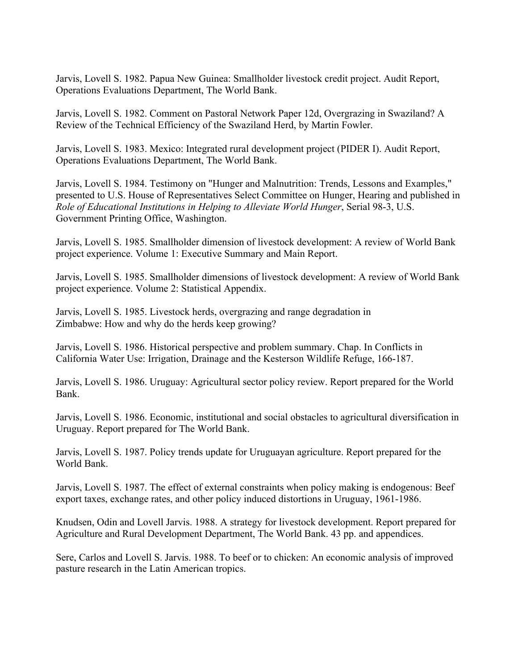Jarvis, Lovell S. 1982. Papua New Guinea: Smallholder livestock credit project. Audit Report, Operations Evaluations Department, The World Bank.

Jarvis, Lovell S. 1982. Comment on Pastoral Network Paper 12d, Overgrazing in Swaziland? A Review of the Technical Efficiency of the Swaziland Herd, by Martin Fowler.

Jarvis, Lovell S. 1983. Mexico: Integrated rural development project (PIDER I). Audit Report, Operations Evaluations Department, The World Bank.

Jarvis, Lovell S. 1984. Testimony on "Hunger and Malnutrition: Trends, Lessons and Examples," presented to U.S. House of Representatives Select Committee on Hunger, Hearing and published in *Role of Educational Institutions in Helping to Alleviate World Hunger*, Serial 98-3, U.S. Government Printing Office, Washington.

Jarvis, Lovell S. 1985. Smallholder dimension of livestock development: A review of World Bank project experience. Volume 1: Executive Summary and Main Report.

Jarvis, Lovell S. 1985. Smallholder dimensions of livestock development: A review of World Bank project experience. Volume 2: Statistical Appendix.

Jarvis, Lovell S. 1985. Livestock herds, overgrazing and range degradation in Zimbabwe: How and why do the herds keep growing?

Jarvis, Lovell S. 1986. Historical perspective and problem summary. Chap. In Conflicts in California Water Use: Irrigation, Drainage and the Kesterson Wildlife Refuge, 166-187.

Jarvis, Lovell S. 1986. Uruguay: Agricultural sector policy review. Report prepared for the World Bank.

Jarvis, Lovell S. 1986. Economic, institutional and social obstacles to agricultural diversification in Uruguay. Report prepared for The World Bank.

Jarvis, Lovell S. 1987. Policy trends update for Uruguayan agriculture. Report prepared for the World Bank.

Jarvis, Lovell S. 1987. The effect of external constraints when policy making is endogenous: Beef export taxes, exchange rates, and other policy induced distortions in Uruguay, 1961-1986.

Knudsen, Odin and Lovell Jarvis. 1988. A strategy for livestock development. Report prepared for Agriculture and Rural Development Department, The World Bank. 43 pp. and appendices.

Sere, Carlos and Lovell S. Jarvis. 1988. To beef or to chicken: An economic analysis of improved pasture research in the Latin American tropics.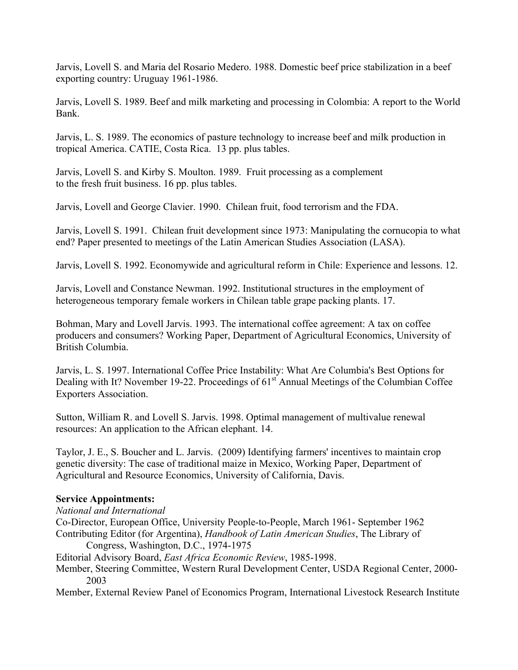Jarvis, Lovell S. and Maria del Rosario Medero. 1988. Domestic beef price stabilization in a beef exporting country: Uruguay 1961-1986.

Jarvis, Lovell S. 1989. Beef and milk marketing and processing in Colombia: A report to the World Bank.

Jarvis, L. S. 1989. The economics of pasture technology to increase beef and milk production in tropical America. CATIE, Costa Rica. 13 pp. plus tables.

Jarvis, Lovell S. and Kirby S. Moulton. 1989. Fruit processing as a complement to the fresh fruit business. 16 pp. plus tables.

Jarvis, Lovell and George Clavier. 1990. Chilean fruit, food terrorism and the FDA.

Jarvis, Lovell S. 1991. Chilean fruit development since 1973: Manipulating the cornucopia to what end? Paper presented to meetings of the Latin American Studies Association (LASA).

Jarvis, Lovell S. 1992. Economywide and agricultural reform in Chile: Experience and lessons. 12.

Jarvis, Lovell and Constance Newman. 1992. Institutional structures in the employment of heterogeneous temporary female workers in Chilean table grape packing plants. 17.

Bohman, Mary and Lovell Jarvis. 1993. The international coffee agreement: A tax on coffee producers and consumers? Working Paper, Department of Agricultural Economics, University of British Columbia.

Jarvis, L. S. 1997. International Coffee Price Instability: What Are Columbia's Best Options for Dealing with It? November 19-22. Proceedings of 61<sup>st</sup> Annual Meetings of the Columbian Coffee Exporters Association.

Sutton, William R. and Lovell S. Jarvis. 1998. Optimal management of multivalue renewal resources: An application to the African elephant. 14.

Taylor, J. E., S. Boucher and L. Jarvis. (2009) Identifying farmers' incentives to maintain crop genetic diversity: The case of traditional maize in Mexico, Working Paper, Department of Agricultural and Resource Economics, University of California, Davis.

## **Service Appointments:**

## *National and International*

- Contributing Editor (for Argentina), *Handbook of Latin American Studies*, The Library of Congress, Washington, D.C., 1974-1975 Co-Director, European Office, University People-to-People, March 1961- September 1962
- Editorial Advisory Board, *East Africa Economic Review*, 1985-1998.
- Member, Steering Committee, Western Rural Development Center, USDA Regional Center, 2000- 2003
- Member, External Review Panel of Economics Program, International Livestock Research Institute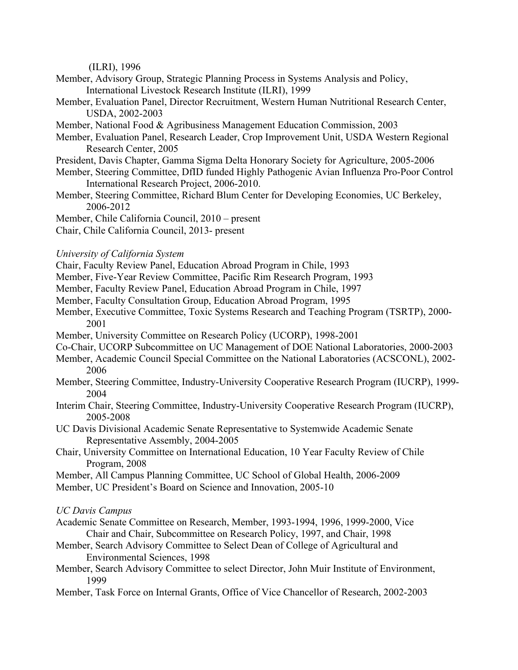(ILRI), 1996

- Member, Advisory Group, Strategic Planning Process in Systems Analysis and Policy, International Livestock Research Institute (ILRI), 1999
- Member, Evaluation Panel, Director Recruitment, Western Human Nutritional Research Center, USDA, 2002-2003
- Member, National Food & Agribusiness Management Education Commission, 2003
- Member, Evaluation Panel, Research Leader, Crop Improvement Unit, USDA Western Regional Research Center, 2005
- President, Davis Chapter, Gamma Sigma Delta Honorary Society for Agriculture, 2005-2006
- Member, Steering Committee, DfID funded Highly Pathogenic Avian Influenza Pro-Poor Control International Research Project, 2006-2010.
- Member, Steering Committee, Richard Blum Center for Developing Economies, UC Berkeley, 2006-2012
- Member, Chile California Council, 2010 present
- Chair, Chile California Council, 2013- present
- *University of California System*
- Chair, Faculty Review Panel, Education Abroad Program in Chile, 1993
- Member, Five-Year Review Committee, Pacific Rim Research Program, 1993
- Member, Faculty Review Panel, Education Abroad Program in Chile, 1997
- Member, Faculty Consultation Group, Education Abroad Program, 1995
- Member, Executive Committee, Toxic Systems Research and Teaching Program (TSRTP), 2000- 2001
- Member, University Committee on Research Policy (UCORP), 1998-2001
- Co-Chair, UCORP Subcommittee on UC Management of DOE National Laboratories, 2000-2003
- Member, Academic Council Special Committee on the National Laboratories (ACSCONL), 2002- 2006
- Member, Steering Committee, Industry-University Cooperative Research Program (IUCRP), 1999- 2004
- Interim Chair, Steering Committee, Industry-University Cooperative Research Program (IUCRP), 2005-2008
- UC Davis Divisional Academic Senate Representative to Systemwide Academic Senate Representative Assembly, 2004-2005
- Chair, University Committee on International Education, 10 Year Faculty Review of Chile Program, 2008
- Member, All Campus Planning Committee, UC School of Global Health, 2006-2009
- Member, UC President's Board on Science and Innovation, 2005-10

 *UC Davis Campus* 

- Academic Senate Committee on Research, Member, 1993-1994, 1996, 1999-2000, Vice Chair and Chair, Subcommittee on Research Policy, 1997, and Chair, 1998
- Member, Search Advisory Committee to Select Dean of College of Agricultural and Environmental Sciences, 1998
- Member, Search Advisory Committee to select Director, John Muir Institute of Environment, 1999
- Member, Task Force on Internal Grants, Office of Vice Chancellor of Research, 2002-2003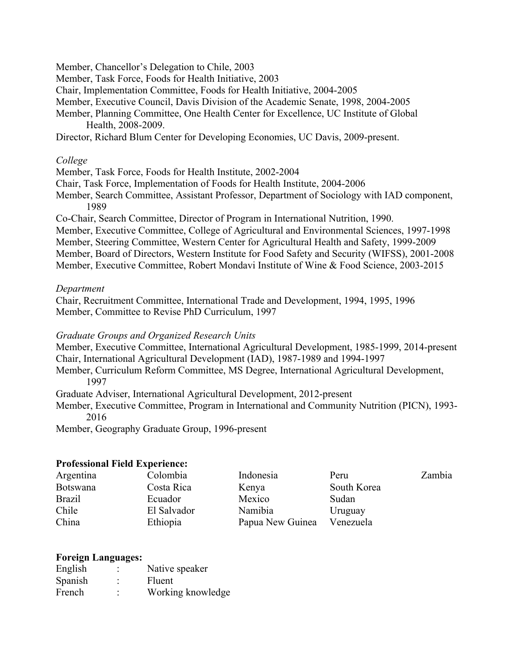Member, Chancellor's Delegation to Chile, 2003

Member, Task Force, Foods for Health Initiative, 2003

Chair, Implementation Committee, Foods for Health Initiative, 2004-2005

Member, Executive Council, Davis Division of the Academic Senate, 1998, 2004-2005

Member, Planning Committee, One Health Center for Excellence, UC Institute of Global Health, 2008-2009.

Director, Richard Blum Center for Developing Economies, UC Davis, 2009-present.

## *College*

Member, Task Force, Foods for Health Institute, 2002-2004

Chair, Task Force, Implementation of Foods for Health Institute, 2004-2006

Member, Search Committee, Assistant Professor, Department of Sociology with IAD component, 1989

Co-Chair, Search Committee, Director of Program in International Nutrition, 1990.

 Member, Executive Committee, College of Agricultural and Environmental Sciences, 1997-1998 Member, Board of Directors, Western Institute for Food Safety and Security (WIFSS), 2001-2008 Member, Steering Committee, Western Center for Agricultural Health and Safety, 1999-2009 Member, Executive Committee, Robert Mondavi Institute of Wine & Food Science, 2003-2015

## *Department*

 Chair, Recruitment Committee, International Trade and Development, 1994, 1995, 1996 Member, Committee to Revise PhD Curriculum, 1997

### *Graduate Groups and Organized Research Units*

Member, Executive Committee, International Agricultural Development, 1985-1999, 2014-present Chair, International Agricultural Development (IAD), 1987-1989 and 1994-1997

Member, Curriculum Reform Committee, MS Degree, International Agricultural Development, 1997

Graduate Adviser, International Agricultural Development, 2012-present

 Member, Executive Committee, Program in International and Community Nutrition (PICN), 1993- 2016

Member, Geography Graduate Group, 1996-present

### **Professional Field Experience:**

| Argentina       | Colombia    | Indonesia        | Peru        | Zambia |
|-----------------|-------------|------------------|-------------|--------|
| <b>Botswana</b> | Costa Rica  | Kenya            | South Korea |        |
| <b>Brazil</b>   | Ecuador     | Mexico           | Sudan       |        |
| Chile           | El Salvador | Namibia          | Uruguay     |        |
| China           | Ethiopia    | Papua New Guinea | Venezuela   |        |

### **Foreign Languages:**

| English | $\bullet$                   | Native speaker    |
|---------|-----------------------------|-------------------|
| Spanish | $\bullet$<br>$\blacksquare$ | Fluent            |
| French  | $\bullet$<br>$\blacksquare$ | Working knowledge |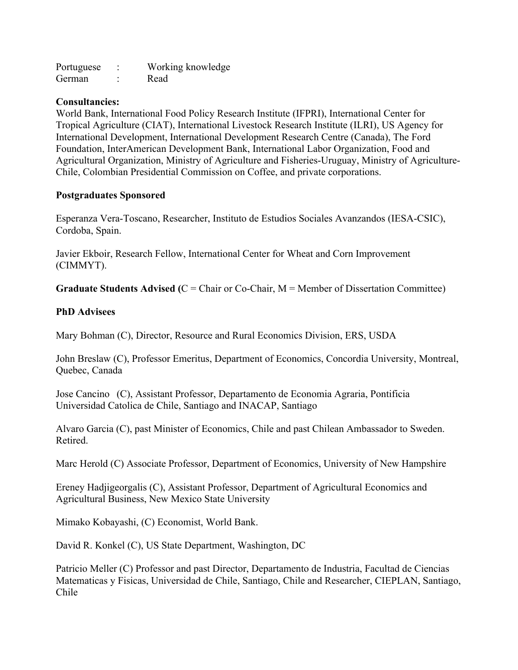| Portuguese |   | Working knowledge |
|------------|---|-------------------|
| German     | ٠ | Read              |

### **Consultancies:**

World Bank, International Food Policy Research Institute (IFPRI), International Center for Tropical Agriculture (CIAT), International Livestock Research Institute (ILRI), US Agency for International Development, International Development Research Centre (Canada), The Ford Foundation, InterAmerican Development Bank, International Labor Organization, Food and Agricultural Organization, Ministry of Agriculture and Fisheries-Uruguay, Ministry of Agriculture-Chile, Colombian Presidential Commission on Coffee, and private corporations.

## **Postgraduates Sponsored**

Esperanza Vera-Toscano, Researcher, Instituto de Estudios Sociales Avanzandos (IESA-CSIC), Cordoba, Spain.

Javier Ekboir, Research Fellow, International Center for Wheat and Corn Improvement (CIMMYT).

**Graduate Students Advised (**C = Chair or Co-Chair, M = Member of Dissertation Committee)

## **PhD Advisees**

Mary Bohman (C), Director, Resource and Rural Economics Division, ERS, USDA

John Breslaw (C), Professor Emeritus, Department of Economics, Concordia University, Montreal, Quebec, Canada

Jose Cancino (C), Assistant Professor, Departamento de Economia Agraria, Pontificia Universidad Catolica de Chile, Santiago and INACAP, Santiago

Alvaro Garcia (C), past Minister of Economics, Chile and past Chilean Ambassador to Sweden. Retired.

Marc Herold (C) Associate Professor, Department of Economics, University of New Hampshire

Ereney Hadjigeorgalis (C), Assistant Professor, Department of Agricultural Economics and Agricultural Business, New Mexico State University

Mimako Kobayashi, (C) Economist, World Bank.

David R. Konkel (C), US State Department, Washington, DC

Patricio Meller (C) Professor and past Director, Departamento de Industria, Facultad de Ciencias Matematicas y Fisicas, Universidad de Chile, Santiago, Chile and Researcher, CIEPLAN, Santiago, Chile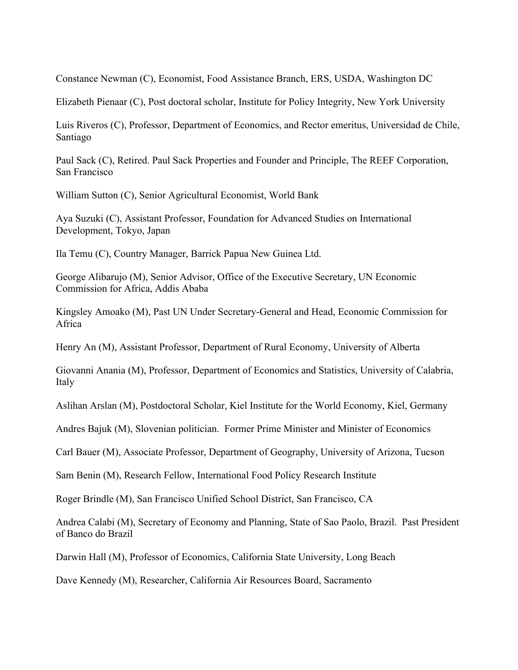Constance Newman (C), Economist, Food Assistance Branch, ERS, USDA, Washington DC

Elizabeth Pienaar (C), Post doctoral scholar, Institute for Policy Integrity, New York University

Luis Riveros (C), Professor, Department of Economics, and Rector emeritus, Universidad de Chile, Santiago

Paul Sack (C), Retired. Paul Sack Properties and Founder and Principle, The REEF Corporation, San Francisco

William Sutton (C), Senior Agricultural Economist, World Bank

Aya Suzuki (C), Assistant Professor, Foundation for Advanced Studies on International Development, Tokyo, Japan

Ila Temu (C), Country Manager, Barrick Papua New Guinea Ltd.

 Commission for Africa, Addis Ababa George Alibarujo (M), Senior Advisor, Office of the Executive Secretary, UN Economic

Kingsley Amoako (M), Past UN Under Secretary-General and Head, Economic Commission for Africa

Henry An (M), Assistant Professor, Department of Rural Economy, University of Alberta

Giovanni Anania (M), Professor, Department of Economics and Statistics, University of Calabria, Italy

Aslihan Arslan (M), Postdoctoral Scholar, Kiel Institute for the World Economy, Kiel, Germany

Andres Bajuk (M), Slovenian politician. Former Prime Minister and Minister of Economics

Carl Bauer (M), Associate Professor, Department of Geography, University of Arizona, Tucson

Sam Benin (M), Research Fellow, International Food Policy Research Institute

Roger Brindle (M), San Francisco Unified School District, San Francisco, CA

of Banco do Brazil Andrea Calabi (M), Secretary of Economy and Planning, State of Sao Paolo, Brazil. Past President

Darwin Hall (M), Professor of Economics, California State University, Long Beach

Dave Kennedy (M), Researcher, California Air Resources Board, Sacramento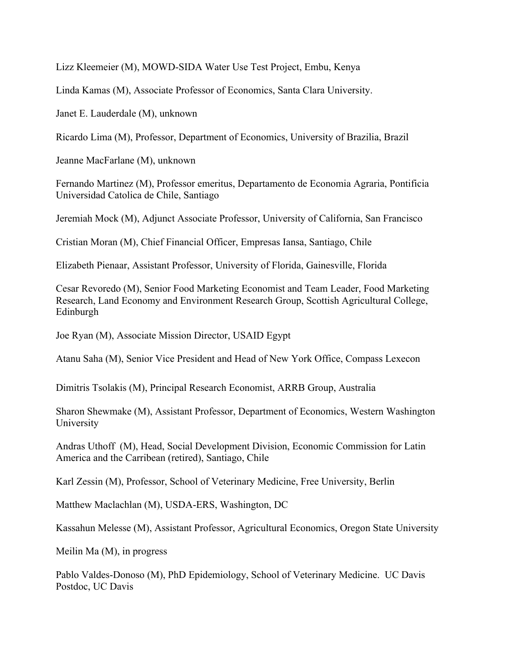Lizz Kleemeier (M), MOWD-SIDA Water Use Test Project, Embu, Kenya

Linda Kamas (M), Associate Professor of Economics, Santa Clara University.

Janet E. Lauderdale (M), unknown

Ricardo Lima (M), Professor, Department of Economics, University of Brazilia, Brazil

Jeanne MacFarlane (M), unknown

Fernando Martinez (M), Professor emeritus, Departamento de Economia Agraria, Pontificia Universidad Catolica de Chile, Santiago

Jeremiah Mock (M), Adjunct Associate Professor, University of California, San Francisco

Cristian Moran (M), Chief Financial Officer, Empresas Iansa, Santiago, Chile

Elizabeth Pienaar, Assistant Professor, University of Florida, Gainesville, Florida

Cesar Revoredo (M), Senior Food Marketing Economist and Team Leader, Food Marketing Research, Land Economy and Environment Research Group, Scottish Agricultural College, Edinburgh

Joe Ryan (M), Associate Mission Director, USAID Egypt

Atanu Saha (M), Senior Vice President and Head of New York Office, Compass Lexecon

Dimitris Tsolakis (M), Principal Research Economist, ARRB Group, Australia

Sharon Shewmake (M), Assistant Professor, Department of Economics, Western Washington University

 America and the Carribean (retired), Santiago, Chile Andras Uthoff (M), Head, Social Development Division, Economic Commission for Latin

Karl Zessin (M), Professor, School of Veterinary Medicine, Free University, Berlin

Matthew Maclachlan (M), USDA-ERS, Washington, DC

Kassahun Melesse (M), Assistant Professor, Agricultural Economics, Oregon State University

Meilin Ma (M), in progress

 Pablo Valdes-Donoso (M), PhD Epidemiology, School of Veterinary Medicine. UC Davis Postdoc, UC Davis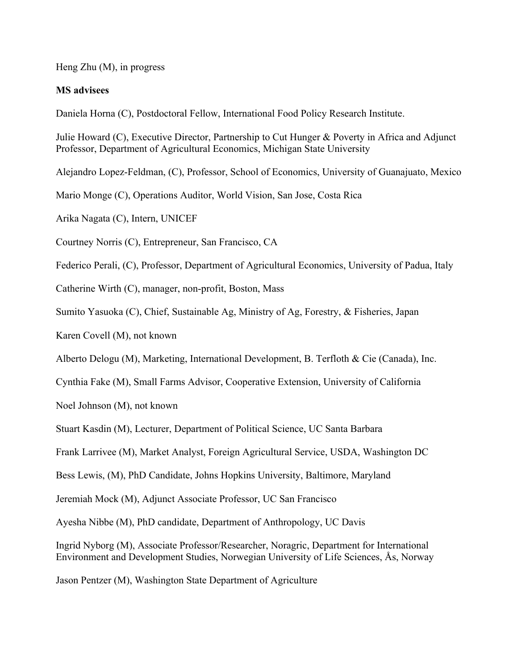Heng Zhu (M), in progress

# **MS advisees**

Daniela Horna (C), Postdoctoral Fellow, International Food Policy Research Institute.

Julie Howard (C), Executive Director, Partnership to Cut Hunger & Poverty in Africa and Adjunct Professor, Department of Agricultural Economics, Michigan State University

Alejandro Lopez-Feldman, (C), Professor, School of Economics, University of Guanajuato, Mexico

Mario Monge (C), Operations Auditor, World Vision, San Jose, Costa Rica

Arika Nagata (C), Intern, UNICEF

Courtney Norris (C), Entrepreneur, San Francisco, CA

Federico Perali, (C), Professor, Department of Agricultural Economics, University of Padua, Italy

Catherine Wirth (C), manager, non-profit, Boston, Mass

Sumito Yasuoka (C), Chief, Sustainable Ag, Ministry of Ag, Forestry, & Fisheries, Japan

Karen Covell (M), not known

Alberto Delogu (M), Marketing, International Development, B. Terfloth & Cie (Canada), Inc.

Cynthia Fake (M), Small Farms Advisor, Cooperative Extension, University of California

Noel Johnson (M), not known

Stuart Kasdin (M), Lecturer, Department of Political Science, UC Santa Barbara

Frank Larrivee (M), Market Analyst, Foreign Agricultural Service, USDA, Washington DC

Bess Lewis, (M), PhD Candidate, Johns Hopkins University, Baltimore, Maryland

Jeremiah Mock (M), Adjunct Associate Professor, UC San Francisco

Ayesha Nibbe (M), PhD candidate, Department of Anthropology, UC Davis

Ingrid Nyborg (M), Associate Professor/Researcher, Noragric, Department for International Environment and Development Studies, Norwegian University of Life Sciences, Ås, Norway

Jason Pentzer (M), Washington State Department of Agriculture